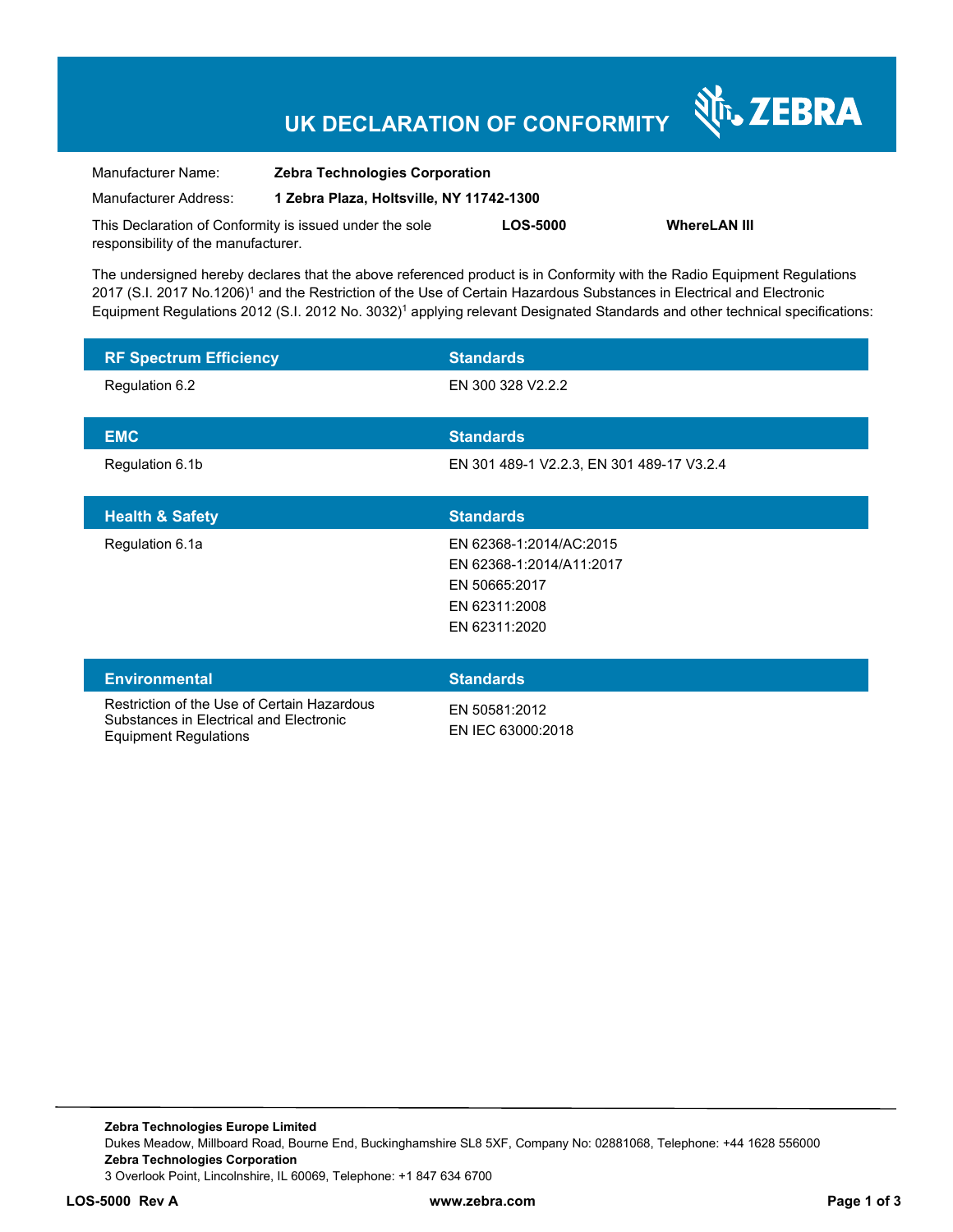# **UK DECLARATION OF CONFORMITY**

Nr. ZEBRA

| Manufacturer Name:                                      | <b>Zebra Technologies Corporation</b>    |                 |                     |
|---------------------------------------------------------|------------------------------------------|-----------------|---------------------|
| Manufacturer Address:                                   | 1 Zebra Plaza, Holtsville, NY 11742-1300 |                 |                     |
| This Declaration of Conformity is issued under the sole |                                          | <b>LOS-5000</b> | <b>WhereLAN III</b> |
| responsibility of the manufacturer.                     |                                          |                 |                     |

The undersigned hereby declares that the above referenced product is in Conformity with the Radio Equipment Regulations 2017 (S.I. 2017 No.1206)<sup>1</sup> and the Restriction of the Use of Certain Hazardous Substances in Electrical and Electronic Equipment Regulations 2012 (S.I. 2012 No. 3032)<sup>1</sup> applying relevant Designated Standards and other technical specifications:

| <b>RF Spectrum Efficiency</b>                                                                                          | <b>Standards</b>                                                                                       |
|------------------------------------------------------------------------------------------------------------------------|--------------------------------------------------------------------------------------------------------|
| Regulation 6.2                                                                                                         | EN 300 328 V2.2.2                                                                                      |
| <b>EMC</b>                                                                                                             | <b>Standards</b>                                                                                       |
| Regulation 6.1b                                                                                                        | EN 301 489-1 V2.2.3, EN 301 489-17 V3.2.4                                                              |
| <b>Health &amp; Safety</b>                                                                                             | <b>Standards</b>                                                                                       |
| Regulation 6.1a                                                                                                        | EN 62368-1:2014/AC:2015<br>EN 62368-1:2014/A11:2017<br>EN 50665:2017<br>EN 62311:2008<br>EN 62311:2020 |
| <b>Environmental</b>                                                                                                   | <b>Standards</b>                                                                                       |
| Restriction of the Use of Certain Hazardous<br>Substances in Electrical and Electronic<br><b>Equipment Regulations</b> | EN 50581:2012<br>EN IEC 63000:2018                                                                     |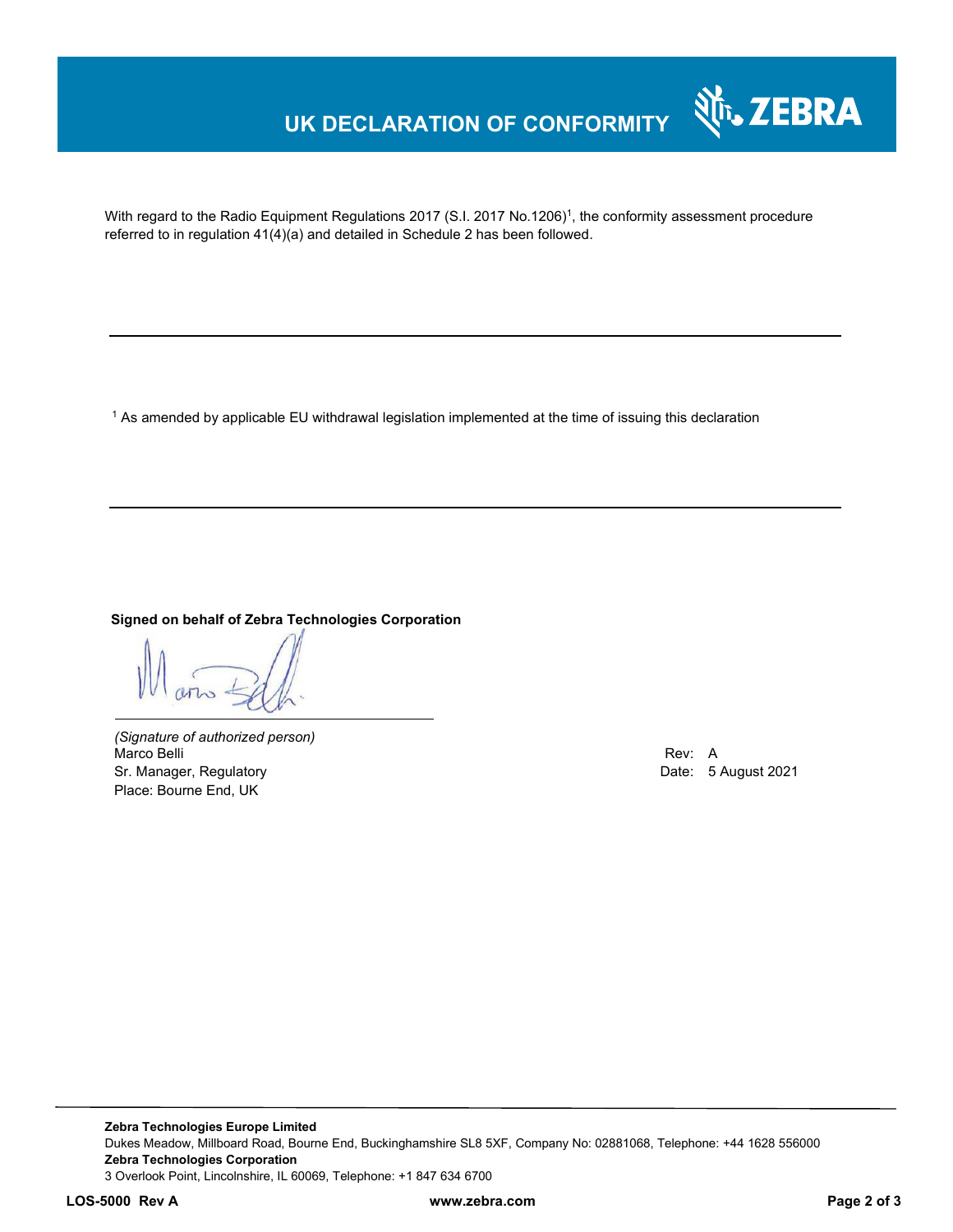### **UK DECLARATION OF CONFORMITY**



With regard to the Radio Equipment Regulations 2017 (S.I. 2017 No.1206)<sup>1</sup>, the conformity assessment procedure referred to in regulation 41(4)(a) and detailed in Schedule 2 has been followed.

 $^{\rm 1}$  As amended by applicable EU withdrawal legislation implemented at the time of issuing this declaration

#### **Signed on behalf of Zebra Technologies Corporation**

*(Signature of authorized person)* Marco Belli Rev: A Sr. Manager, Regulatory **Date: 5 August 2021** Place: Bourne End, UK